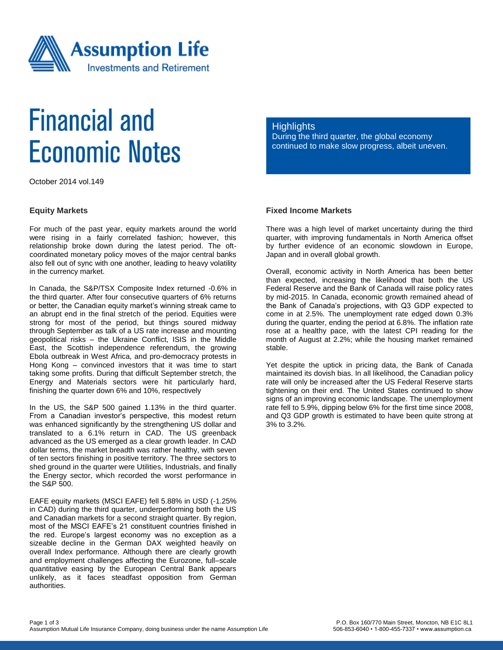

# **Financial and Economic Notes**

October 2014 vol.149

#### **Equity Markets**

For much of the past year, equity markets around the world were rising in a fairly correlated fashion; however, this relationship broke down during the latest period. The oftcoordinated monetary policy moves of the major central banks also fell out of sync with one another, leading to heavy volatility in the currency market.

In Canada, the S&P/TSX Composite Index returned -0.6% in the third quarter. After four consecutive quarters of 6% returns or better, the Canadian equity market's winning streak came to an abrupt end in the final stretch of the period. Equities were strong for most of the period, but things soured midway through September as talk of a US rate increase and mounting geopolitical risks – the Ukraine Conflict, ISIS in the Middle East, the Scottish independence referendum, the growing Ebola outbreak in West Africa, and pro-democracy protests in Hong Kong – convinced investors that it was time to start taking some profits. During that difficult September stretch, the Energy and Materials sectors were hit particularly hard, finishing the quarter down 6% and 10%, respectively

In the US, the S&P 500 gained 1.13% in the third quarter. From a Canadian investor's perspective, this modest return was enhanced significantly by the strengthening US dollar and translated to a 6.1% return in CAD. The US greenback advanced as the US emerged as a clear growth leader. In CAD dollar terms, the market breadth was rather healthy, with seven of ten sectors finishing in positive territory. The three sectors to shed ground in the quarter were Utilities, Industrials, and finally the Energy sector, which recorded the worst performance in the S&P 500.

EAFE equity markets (MSCI EAFE) fell 5.88% in USD (-1.25% in CAD) during the third quarter, underperforming both the US and Canadian markets for a second straight quarter. By region, most of the MSCI EAFE's 21 constituent countries finished in the red. Europe's largest economy was no exception as a sizeable decline in the German DAX weighted heavily on overall Index performance. Although there are clearly growth and employment challenges affecting the Eurozone, full–scale quantitative easing by the European Central Bank appears unlikely, as it faces steadfast opposition from German authorities.

#### **Highlights**

During the third quarter, the global economy continued to make slow progress, albeit uneven.

# **Fixed Income Markets**

There was a high level of market uncertainty during the third quarter, with improving fundamentals in North America offset by further evidence of an economic slowdown in Europe, Japan and in overall global growth.

Overall, economic activity in North America has been better than expected, increasing the likelihood that both the US Federal Reserve and the Bank of Canada will raise policy rates by mid-2015. In Canada, economic growth remained ahead of the Bank of Canada's projections, with Q3 GDP expected to come in at 2.5%. The unemployment rate edged down 0.3% during the quarter, ending the period at 6.8%. The inflation rate rose at a healthy pace, with the latest CPI reading for the month of August at 2.2%; while the housing market remained stable.

Yet despite the uptick in pricing data, the Bank of Canada maintained its dovish bias. In all likelihood, the Canadian policy rate will only be increased after the US Federal Reserve starts tightening on their end. The United States continued to show signs of an improving economic landscape. The unemployment rate fell to 5.9%, dipping below 6% for the first time since 2008, and Q3 GDP growth is estimated to have been quite strong at 3% to 3.2%.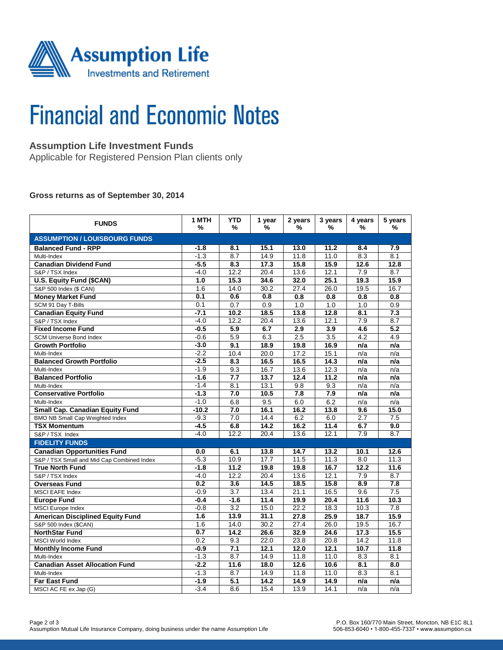

# **Financial and Economic Notes**

# **Assumption Life Investment Funds**

Applicable for Registered Pension Plan clients only

#### **Gross returns as of September 30, 2014**

| <b>FUNDS</b>                               | 1 MTH<br>% | <b>YTD</b><br>%  | 1 year<br>%       | 2 years<br>% | 3 years<br>%     | 4 years<br>%     | 5 years<br>%     |  |  |  |  |
|--------------------------------------------|------------|------------------|-------------------|--------------|------------------|------------------|------------------|--|--|--|--|
| <b>ASSUMPTION / LOUISBOURG FUNDS</b>       |            |                  |                   |              |                  |                  |                  |  |  |  |  |
| <b>Balanced Fund - RPP</b>                 | $-1.8$     | 8.1              | 15.1              | 13.0         | 11.2             | 8.4              | 7.9              |  |  |  |  |
| Multi-Index                                | $-1.3$     | 8.7              | 14.9              | 11.8         | 11.0             | 8.3              | 8.1              |  |  |  |  |
| <b>Canadian Dividend Fund</b>              | $-5.5$     | 8.3              | 17.3              | 15.8         | 15.9             | 12.6             | 12.8             |  |  |  |  |
| S&P / TSX Index                            | $-4.0$     | 12.2             | 20.4              | 13.6         | 12.1             | 7.9              | 8.7              |  |  |  |  |
| <b>U.S. Equity Fund (\$CAN)</b>            | 1.0        | 15.3             | 34.6              | 32.0         | 25.1             | 19.3             | 15.9             |  |  |  |  |
| S&P 500 Index (\$ CAN)                     | 1.6        | 14.0             | 30.2              | 27.4         | 26.0             | 19.5             | 16.7             |  |  |  |  |
| <b>Money Market Fund</b>                   | 0.1        | 0.6              | 0.8               | 0.8          | 0.8              | 0.8              | 0.8              |  |  |  |  |
| SCM 91 Day T-Bills                         | 0.1        | 0.7              | 0.9               | 1.0          | 1.0              | 1.0              | 0.9              |  |  |  |  |
| <b>Canadian Equity Fund</b>                | $-7.1$     | 10.2             | 18.5              | 13.8         | 12.8             | 8.1              | 7.3              |  |  |  |  |
| S&P / TSX Index                            | $-4.0$     | 12.2             | 20.4              | 13.6         | 12.1             | 7.9              | 8.7              |  |  |  |  |
| <b>Fixed Income Fund</b>                   | $-0.5$     | 5.9              | 6.7               | 2.9          | 3.9              | 4.6              | 5.2              |  |  |  |  |
| <b>SCM Universe Bond Index</b>             | $-0.6$     | 5.9              | 6.3               | 2.5          | $\overline{3.5}$ | 4.2              | 4.9              |  |  |  |  |
| <b>Growth Portfolio</b>                    | $-3.0$     | 9.1              | 18.9              | 19.8         | 16.9             | n/a              | n/a              |  |  |  |  |
| Multi-Index                                | $-2.2$     | 10.4             | 20.0              | 17.2         | 15.1             | n/a              | n/a              |  |  |  |  |
| <b>Balanced Growth Portfolio</b>           | $-2.5$     | 8.3              | 16.5              | 16.5         | 14.3             | n/a              | n/a              |  |  |  |  |
| Multi-Index                                | $-1.9$     | 9.3              | 16.7              | 13.6         | 12.3             | n/a              | n/a              |  |  |  |  |
| <b>Balanced Portfolio</b>                  | $-1.6$     | 7.7              | 13.7              | 12.4         | 11.2             | n/a              | n/a              |  |  |  |  |
| Multi-Index                                | $-1.4$     | 8.1              | 13.1              | 9.8          | 9.3              | n/a              | n/a              |  |  |  |  |
| <b>Conservative Portfolio</b>              | $-1.3$     | 7.0              | 10.5              | 7.8          | 7.9              | n/a              | n/a              |  |  |  |  |
| Multi-Index                                | $-1.0$     | 6.8              | 9.5               | 6.0          | 6.2              | n/a              | n/a              |  |  |  |  |
| <b>Small Cap. Canadian Equity Fund</b>     | $-10.2$    | 7.0              | 16.1              | 16.2         | 13.8             | 9.6              | 15.0             |  |  |  |  |
| <b>BMO NB Small Cap Weighted Index</b>     | $-9.3$     | 7.0              | 14.4              | 6.2          | 6.0              | 2.7              | $\overline{7.5}$ |  |  |  |  |
| <b>TSX Momentum</b>                        | $-4.5$     | 6.8              | $\overline{14.2}$ | 16.2         | 11.4             | 6.7              | 9.0              |  |  |  |  |
| S&P / TSX Index                            | $-4.0$     | 12.2             | 20.4              | 13.6         | 12.1             | 7.9              | 8.7              |  |  |  |  |
| <b>FIDELITY FUNDS</b>                      |            |                  |                   |              |                  |                  |                  |  |  |  |  |
| <b>Canadian Opportunities Fund</b>         | 0.0        | 6.1              | 13.8              | 14.7         | 13.2             | 10.1             | 12.6             |  |  |  |  |
| S&P / TSX Small and Mid Cap Combined Index | $-5.3$     | 10.9             | 17.7              | 11.5         | 11.3             | 8.0              | 11.3             |  |  |  |  |
| <b>True North Fund</b>                     | $-1.8$     | 11.2             | 19.8              | 19.8         | 16.7             | 12.2             | 11.6             |  |  |  |  |
| S&P / TSX Index                            | $-4.0$     | 12.2             | 20.4              | 13.6         | 12.1             | 7.9              | 8.7              |  |  |  |  |
| <b>Overseas Fund</b>                       | 0.2        | 3.6              | 14.5              | 18.5         | 15.8             | 8.9              | 7.8              |  |  |  |  |
| MSCI EAFE Index                            | $-0.9$     | 3.7              | 13.4              | 21.1         | 16.5             | 9.6              | 7.5              |  |  |  |  |
| <b>Europe Fund</b>                         | $-0.4$     | $-1.6$           | 11.4              | 19.9         | 20.4             | 11.6             | 10.3             |  |  |  |  |
| <b>MSCI</b> Europe Index                   | $-0.8$     | $\overline{3.2}$ | 15.0              | 22.2         | 18.3             | 10.3             | 7.8              |  |  |  |  |
| <b>American Disciplined Equity Fund</b>    | 1.6        | 13.9             | 31.1              | 27.8         | 25.9             | 18.7             | 15.9             |  |  |  |  |
| S&P 500 Index (\$CAN)                      | 1.6        | 14.0             | 30.2              | 27.4         | 26.0             | 19.5             | 16.7             |  |  |  |  |
| <b>NorthStar Fund</b>                      | 0.7        | 14.2             | 26.6              | 32.9         | 24.6             | 17.3             | 15.5             |  |  |  |  |
| <b>MSCI World Index</b>                    | 0.2        | 9.3              | 22.0              | 23.8         | 20.8             | 14.2             | 11.8             |  |  |  |  |
| <b>Monthly Income Fund</b>                 | $-0.9$     | 7.1              | 12.1              | 12.0         | 12.1             | 10.7             | 11.8             |  |  |  |  |
| Multi-Index                                | $-1.3$     | 8.7              | 14.9              | 11.8         | 11.0             | 8.3              | 8.1              |  |  |  |  |
| <b>Canadian Asset Allocation Fund</b>      | $-2.2$     | 11.6             | 18.0              | 12.6         | 10.6             | $\overline{8.1}$ | $\overline{8.0}$ |  |  |  |  |
| Multi-Index                                | $-1.3$     | 8.7              | 14.9              | 11.8         | 11.0             | 8.3              | 8.1              |  |  |  |  |
| <b>Far East Fund</b>                       | $-1.9$     | 5.1              | 14.2              | 14.9         | 14.9             | n/a              | n/a              |  |  |  |  |
| MSCI AC FE ex Jap (G)                      | $-3.4$     | 8.6              | 15.4              | 13.9         | 14.1             | n/a              | n/a              |  |  |  |  |